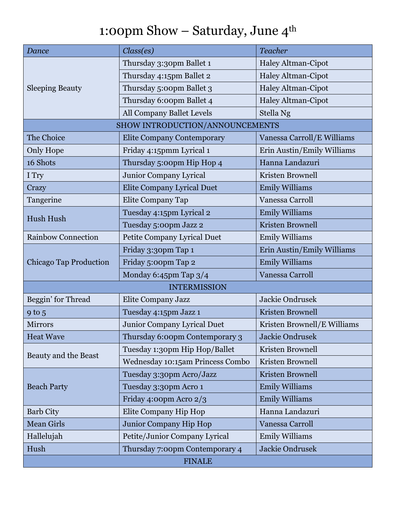## 1:00pm Show – Saturday, June  $4^{\rm th}$

| <b>Dance</b>                    | Class(es)                         | <b>Teacher</b>              |  |
|---------------------------------|-----------------------------------|-----------------------------|--|
| <b>Sleeping Beauty</b>          | Thursday 3:30pm Ballet 1          | <b>Haley Altman-Cipot</b>   |  |
|                                 | Thursday 4:15pm Ballet 2          | Haley Altman-Cipot          |  |
|                                 | Thursday 5:00pm Ballet 3          | <b>Haley Altman-Cipot</b>   |  |
|                                 | Thursday 6:00pm Ballet 4          | <b>Haley Altman-Cipot</b>   |  |
|                                 | All Company Ballet Levels         | Stella Ng                   |  |
| SHOW INTRODUCTION/ANNOUNCEMENTS |                                   |                             |  |
| The Choice                      | <b>Elite Company Contemporary</b> | Vanessa Carroll/E Williams  |  |
| Only Hope                       | Friday 4:15pmm Lyrical 1          | Erin Austin/Emily Williams  |  |
| 16 Shots                        | Thursday 5:00pm Hip Hop 4         | Hanna Landazuri             |  |
| I Try                           | Junior Company Lyrical            | Kristen Brownell            |  |
| Crazy                           | <b>Elite Company Lyrical Duet</b> | <b>Emily Williams</b>       |  |
| Tangerine                       | Elite Company Tap                 | Vanessa Carroll             |  |
| Hush Hush                       | Tuesday 4:15pm Lyrical 2          | <b>Emily Williams</b>       |  |
|                                 | Tuesday 5:00pm Jazz 2             | <b>Kristen Brownell</b>     |  |
| <b>Rainbow Connection</b>       | Petite Company Lyrical Duet       | <b>Emily Williams</b>       |  |
| <b>Chicago Tap Production</b>   | Friday 3:30pm Tap 1               | Erin Austin/Emily Williams  |  |
|                                 | Friday 5:00pm Tap 2               | <b>Emily Williams</b>       |  |
|                                 | Monday 6:45pm Tap 3/4             | Vanessa Carroll             |  |
| <b>INTERMISSION</b>             |                                   |                             |  |
| Beggin' for Thread              | Elite Company Jazz                | Jackie Ondrusek             |  |
| $9$ to $5$                      | Tuesday 4:15pm Jazz 1             | <b>Kristen Brownell</b>     |  |
| Mirrors                         | Junior Company Lyrical Duet       | Kristen Brownell/E Williams |  |
| <b>Heat Wave</b>                | Thursday 6:00pm Contemporary 3    | Jackie Ondrusek             |  |
| Beauty and the Beast            | Tuesday 1:30pm Hip Hop/Ballet     | Kristen Brownell            |  |
|                                 | Wednesday 10:15am Princess Combo  | Kristen Brownell            |  |
| <b>Beach Party</b>              | Tuesday 3:30pm Acro/Jazz          | Kristen Brownell            |  |
|                                 | Tuesday 3:30pm Acro 1             | <b>Emily Williams</b>       |  |
|                                 | Friday 4:00pm Acro 2/3            | <b>Emily Williams</b>       |  |
| <b>Barb City</b>                | Elite Company Hip Hop             | Hanna Landazuri             |  |
| <b>Mean Girls</b>               | Junior Company Hip Hop            | Vanessa Carroll             |  |
| Hallelujah                      | Petite/Junior Company Lyrical     | <b>Emily Williams</b>       |  |
| Hush                            | Thursday 7:00pm Contemporary 4    | Jackie Ondrusek             |  |
| <b>FINALE</b>                   |                                   |                             |  |